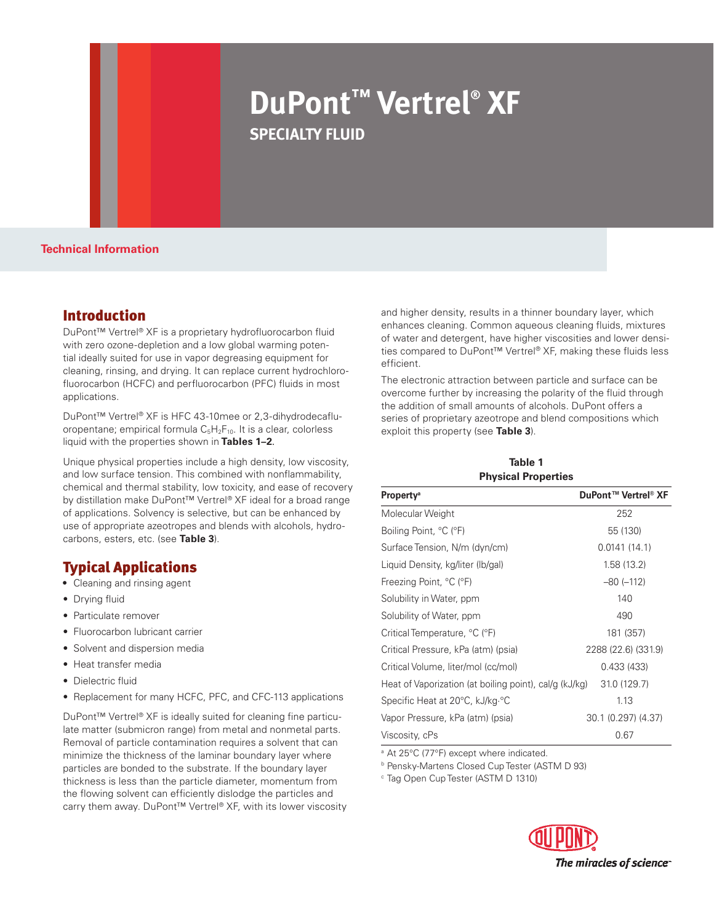# **DuPont™ Vertrel® XF specialty fluid**

**Technical Information**

## Introduction

DuPont™ Vertrel® XF is a proprietary hydrofluorocarbon fluid with zero ozone-depletion and a low global warming potential ideally suited for use in vapor degreasing equipment for cleaning, rinsing, and drying. It can replace current hydrochlorofluorocarbon (HCFC) and perfluorocarbon (PFC) fluids in most applications.

DuPont™ Vertrel® XF is HFC 43-10mee or 2,3-dihydrodecafluoropentane; empirical formula  $C_5H_2F_{10}$ . It is a clear, colorless liquid with the properties shown in **Tables 1–2**.

Unique physical properties include a high density, low viscosity, and low surface tension. This combined with nonflammability, chemical and thermal stability, low toxicity, and ease of recovery by distillation make DuPont™ Vertrel® XF ideal for a broad range of applications. Solvency is selective, but can be enhanced by use of appropriate azeotropes and blends with alcohols, hydrocarbons, esters, etc. (see **Table 3**).

## Typical Applications

- **•** Cleaning and rinsing agent
- Drying fluid
- Particulate remover
- Fluorocarbon lubricant carrier
- Solvent and dispersion media
- • Heat transfer media
- Dielectric fluid
- Replacement for many HCFC, PFC, and CFC-113 applications

DuPont™ Vertrel® XF is ideally suited for cleaning fine particulate matter (submicron range) from metal and nonmetal parts. Removal of particle contamination requires a solvent that can minimize the thickness of the laminar boundary layer where particles are bonded to the substrate. If the boundary layer thickness is less than the particle diameter, momentum from the flowing solvent can efficiently dislodge the particles and carry them away. DuPont™ Vertrel® XF, with its lower viscosity and higher density, results in a thinner boundary layer, which enhances cleaning. Common aqueous cleaning fluids, mixtures of water and detergent, have higher viscosities and lower densities compared to DuPont™ Vertrel® XF, making these fluids less efficient.

The electronic attraction between particle and surface can be overcome further by increasing the polarity of the fluid through the addition of small amounts of alcohols. DuPont offers a series of proprietary azeotrope and blend compositions which exploit this property (see **Table 3**).

#### **Table 1 Physical Properties**

| <b>Property<sup>a</sup></b>                            | DuPont™ Vertrel® XF |
|--------------------------------------------------------|---------------------|
| Molecular Weight                                       | 252                 |
| Boiling Point, °C (°F)                                 | 55 (130)            |
| Surface Tension, N/m (dyn/cm)                          | 0.0141(14.1)        |
| Liquid Density, kg/liter (Ib/gal)                      | 1.58(13.2)          |
| Freezing Point, °C (°F)                                | $-80 (-112)$        |
| Solubility in Water, ppm                               | 140                 |
| Solubility of Water, ppm                               | 490                 |
| Critical Temperature, °C (°F)                          | 181 (357)           |
| Critical Pressure, kPa (atm) (psia)                    | 2288 (22.6) (331.9) |
| Critical Volume, liter/mol (cc/mol)                    | 0.433 (433)         |
| Heat of Vaporization (at boiling point), cal/g (kJ/kg) | 31.0 (129.7)        |
| Specific Heat at 20°C, kJ/kg °C                        | 1.13                |
| Vapor Pressure, kPa (atm) (psia)                       | 30.1 (0.297) (4.37) |
| Viscosity, cPs                                         | 0.67                |

<sup>a</sup> At 25°C (77°F) except where indicated.

<sup>b</sup> Pensky-Martens Closed Cup Tester (ASTM D 93)

<sup>c</sup> Tag Open Cup Tester (ASTM D 1310)

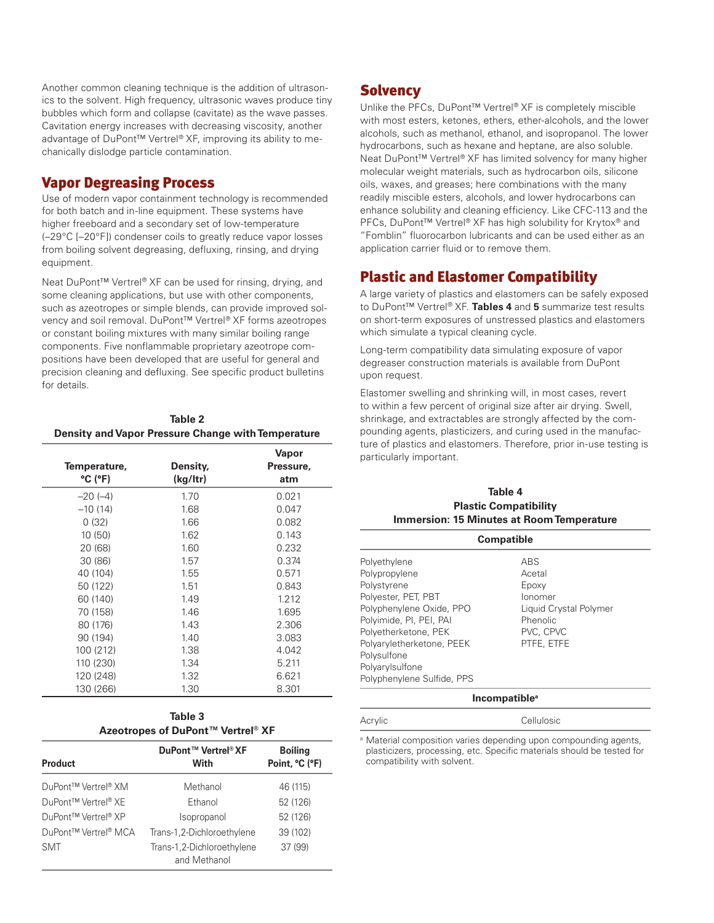Another common cleaning technique is the addition of ultrasonics to the solvent. High frequency, ultrasonic waves produce tiny bubbles which form and collapse (cavitate) as the wave passes. Cavitation energy increases with decreasing viscosity, another advantage of DuPont™ Vertrel® XF, improving its ability to mechanically dislodge particle contamination.

#### Vapor Degreasing Process

Use of modern vapor containment technology is recommended for both batch and in-line equipment. These systems have higher freeboard and a secondary set of low-temperature (–29°C [–20°F]) condenser coils to greatly reduce vapor losses from boiling solvent degreasing, defluxing, rinsing, and drying equipment.

Neat DuPont™ Vertrel® XF can be used for rinsing, drying, and some cleaning applications, but use with other components, such as azeotropes or simple blends, can provide improved solvency and soil removal. DuPont™ Vertrel® XF forms azeotropes or constant boiling mixtures with many similar boiling range components. Five nonflammable proprietary azeotrope compositions have been developed that are useful for general and precision cleaning and defluxing. See specific product bulletins for details.

| Table 2                                                   |
|-----------------------------------------------------------|
| <b>Density and Vapor Pressure Change with Temperature</b> |

| Temperature,<br>$^{\circ}$ C ( $^{\circ}$ F) | Density,<br>(kg/ltr) | Vapor<br>Pressure,<br>atm |
|----------------------------------------------|----------------------|---------------------------|
| $-20(-4)$                                    | 1.70                 | 0.021                     |
| $-10(14)$                                    | 1.68                 | 0.047                     |
| 0(32)                                        | 1.66                 | 0.082                     |
| 10(50)                                       | 1.62                 | 0.143                     |
| 20 (68)                                      | 1.60                 | 0.232                     |
| 30 (86)                                      | 1.57                 | 0.374                     |
| 40 (104)                                     | 1.55                 | 0.571                     |
| 50 (122)                                     | 1.51                 | 0.843                     |
| 60 (140)                                     | 1.49                 | 1.212                     |
| 70 (158)                                     | 1.46                 | 1.695                     |
| 80 (176)                                     | 1.43                 | 2.306                     |
| 90 (194)                                     | 1.40                 | 3.083                     |
| 100 (212)                                    | 1.38                 | 4.042                     |
| 110 (230)                                    | 1.34                 | 5.211                     |
| 120 (248)                                    | 1.32                 | 6.621                     |
| 130 (266)                                    | 1.30                 | 8.301                     |

| Table 3 |                                   |  |  |
|---------|-----------------------------------|--|--|
|         | Azeotropes of DuPont™ Vertrel® XF |  |  |

| <b>Product</b>       | DuPont™ Vertrel® XF<br>With                | <b>Boiling</b><br>Point, °C (°F) |
|----------------------|--------------------------------------------|----------------------------------|
| DuPont™ Vertrel® XM  | Methanol                                   | 46 (115)                         |
| DuPont™ Vertrel® XF  | Fthanol                                    | 52 (126)                         |
| DuPont™ Vertrel® XP  | Isopropanol                                | 52 (126)                         |
| DuPont™ Vertrel® MCA | Trans-1,2-Dichloroethylene                 | 39 (102)                         |
| <b>SMT</b>           | Trans-1,2-Dichloroethylene<br>and Methanol | 37 (99)                          |

## **Solvency**

Unlike the PFCs, DuPont™ Vertrel® XF is completely miscible with most esters, ketones, ethers, ether-alcohols, and the lower alcohols, such as methanol, ethanol, and isopropanol. The lower hydrocarbons, such as hexane and heptane, are also soluble. Neat DuPont™ Vertrel® XF has limited solvency for many higher molecular weight materials, such as hydrocarbon oils, silicone oils, waxes, and greases; here combinations with the many readily miscible esters, alcohols, and lower hydrocarbons can enhance solubility and cleaning efficiency. Like CFC-113 and the PFCs, DuPont™ Vertrel® XF has high solubility for Krytox® and "Fomblin" fluorocarbon lubricants and can be used either as an application carrier fluid or to remove them.

## Plastic and Elastomer Compatibility

A large variety of plastics and elastomers can be safely exposed to DuPont™ Vertrel® XF. **Tables 4** and **5** summarize test results on short-term exposures of unstressed plastics and elastomers which simulate a typical cleaning cycle.

Long-term compatibility data simulating exposure of vapor degreaser construction materials is available from DuPont upon request.

Elastomer swelling and shrinking will, in most cases, revert to within a few percent of original size after air drying. Swell, shrinkage, and extractables are strongly affected by the compounding agents, plasticizers, and curing used in the manufacture of plastics and elastomers. Therefore, prior in-use testing is particularly important.

#### **Table 4 Plastic Compatibility Immersion: 15 Minutes at Room Temperature**

| <b>Compatible</b>          |                        |  |
|----------------------------|------------------------|--|
| Polyethylene               | ABS                    |  |
| Polypropylene              | Acetal                 |  |
| Polystyrene                | Epoxy                  |  |
| Polyester, PET, PBT        | lonomer                |  |
| Polyphenylene Oxide, PPO   | Liquid Crystal Polymer |  |
| Polyimide, PI, PEI, PAI    | Phenolic               |  |
| Polyetherketone, PEK       | PVC, CPVC              |  |
| Polyaryletherketone, PEEK  | PTFE, ETFE             |  |
| Polysulfone                |                        |  |
| Polyarylsulfone            |                        |  |
| Polyphenylene Sulfide, PPS |                        |  |
|                            |                        |  |

#### **Incompatible**<sup>6</sup>

Acrylic Cellulosic <sup>a</sup> Material composition varies depending upon compounding agents, plasticizers, processing, etc. Specific materials should be tested for

compatibility with solvent.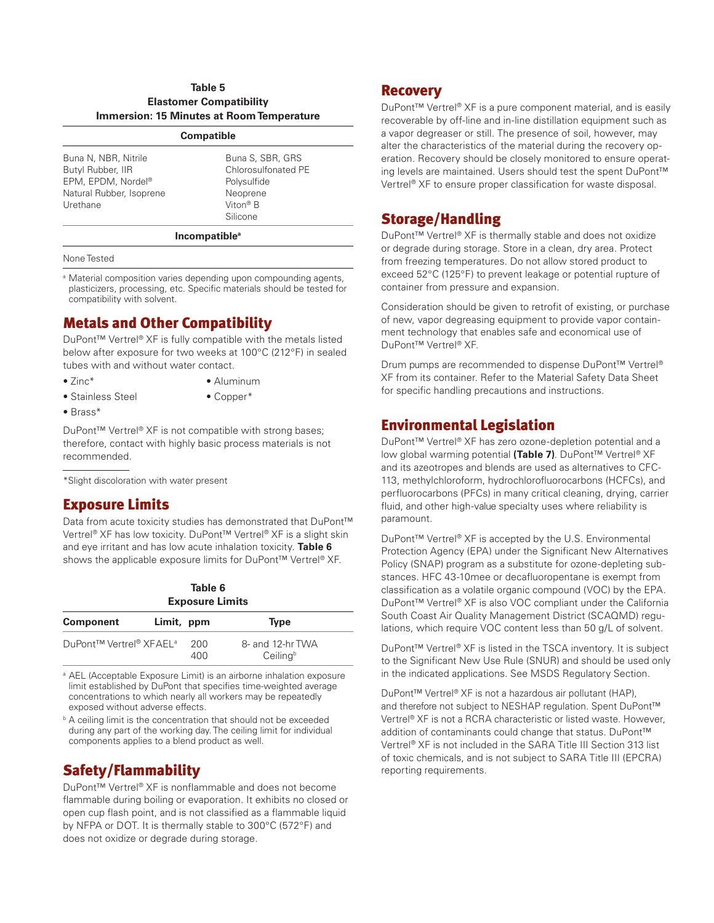#### **Table 5 Elastomer Compatibility Immersion: 15 Minutes at Room Temperature**

#### **Compatible**

| Buna N, NBR, Nitrile<br>Butyl Rubber, IIR<br>EPM, EPDM, Nordel®<br>Natural Rubber, Isoprene<br>Urethane | Buna S, SBR, GRS<br>Chlorosulfonated PE<br>Polysulfide<br>Neoprene<br>Viton <sup>®</sup> B<br>Silicone |
|---------------------------------------------------------------------------------------------------------|--------------------------------------------------------------------------------------------------------|
|---------------------------------------------------------------------------------------------------------|--------------------------------------------------------------------------------------------------------|

#### **Incompatiblea**

#### None Tested

<sup>a</sup> Material composition varies depending upon compounding agents, plasticizers, processing, etc. Specific materials should be tested for compatibility with solvent.

## Metals and Other Compatibility

DuPont™ Vertrel® XF is fully compatible with the metals listed below after exposure for two weeks at 100°C (212°F) in sealed tubes with and without water contact.

- Zinc\* Aluminum
- Stainless Steel Copper\*
- Brass\*

DuPont™ Vertrel® XF is not compatible with strong bases; therefore, contact with highly basic process materials is not recommended.

\*Slight discoloration with water present

## Exposure Limits

Data from acute toxicity studies has demonstrated that DuPont™ Vertrel® XF has low toxicity. DuPont™ Vertrel® XF is a slight skin and eye irritant and has low acute inhalation toxicity. **Table 6** shows the applicable exposure limits for DuPont™ Vertrel® XF.

| Table 6<br><b>Exposure Limits</b>   |            |            |                              |
|-------------------------------------|------------|------------|------------------------------|
| <b>Component</b>                    | Limit, ppm |            | <b>Type</b>                  |
| DuPont™ Vertrel® XFAEL <sup>a</sup> |            | 200<br>400 | 8- and 12-hr TWA<br>Ceilingb |

<sup>a</sup> AEL (Acceptable Exposure Limit) is an airborne inhalation exposure limit established by DuPont that specifies time-weighted average concentrations to which nearly all workers may be repeatedly exposed without adverse effects.

**b** A ceiling limit is the concentration that should not be exceeded during any part of the working day. The ceiling limit for individual components applies to a blend product as well.

## Safety/Flammability

DuPont™ Vertrel® XF is nonflammable and does not become flammable during boiling or evaporation. It exhibits no closed or open cup flash point, and is not classified as a flammable liquid by NFPA or DOT. It is thermally stable to 300°C (572°F) and does not oxidize or degrade during storage.

#### **Recovery**

DuPont™ Vertrel® XF is a pure component material, and is easily recoverable by off-line and in-line distillation equipment such as a vapor degreaser or still. The presence of soil, however, may alter the characteristics of the material during the recovery operation. Recovery should be closely monitored to ensure operating levels are maintained. Users should test the spent DuPont™ Vertrel® XF to ensure proper classification for waste disposal.

## Storage/Handling

DuPont™ Vertrel® XF is thermally stable and does not oxidize or degrade during storage. Store in a clean, dry area. Protect from freezing temperatures. Do not allow stored product to exceed 52°C (125°F) to prevent leakage or potential rupture of container from pressure and expansion.

Consideration should be given to retrofit of existing, or purchase of new, vapor degreasing equipment to provide vapor containment technology that enables safe and economical use of DuPont™ Vertrel® XF.

Drum pumps are recommended to dispense DuPont™ Vertrel® XF from its container. Refer to the Material Safety Data Sheet for specific handling precautions and instructions.

#### Environmental Legislation

DuPont™ Vertrel® XF has zero ozone-depletion potential and a low global warming potential **(Table 7)**. DuPont™ Vertrel® XF and its azeotropes and blends are used as alternatives to CFC-113, methylchloroform, hydrochlorofluorocarbons (HCFCs), and perfluorocarbons (PFCs) in many critical cleaning, drying, carrier fluid, and other high-value specialty uses where reliability is paramount.

DuPont™ Vertrel® XF is accepted by the U.S. Environmental Protection Agency (EPA) under the Significant New Alternatives Policy (SNAP) program as a substitute for ozone-depleting substances. HFC 43-10mee or decafluoropentane is exempt from classification as a volatile organic compound (VOC) by the EPA. DuPont™ Vertrel® XF is also VOC compliant under the California South Coast Air Quality Management District (SCAQMD) regulations, which require VOC content less than 50 g/L of solvent.

DuPont™ Vertrel® XF is listed in the TSCA inventory. It is subject to the Significant New Use Rule (SNUR) and should be used only in the indicated applications. See MSDS Regulatory Section.

DuPont™ Vertrel® XF is not a hazardous air pollutant (HAP), and therefore not subject to NESHAP regulation. Spent DuPont™ Vertrel® XF is not a RCRA characteristic or listed waste. However, addition of contaminants could change that status. DuPont™ Vertrel® XF is not included in the SARA Title III Section 313 list of toxic chemicals, and is not subject to SARA Title III (EPCRA) reporting requirements.